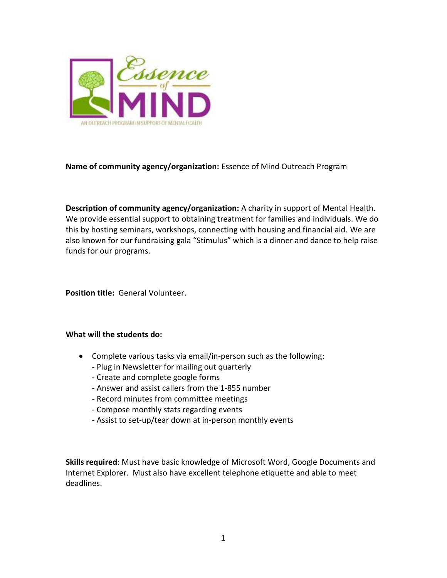

## **Name of community agency/organization:** Essence of Mind Outreach Program

**Description of community agency/organization:** A charity in support of Mental Health. We provide essential support to obtaining treatment for families and individuals. We do this by hosting seminars, workshops, connecting with housing and financial aid. We are also known for our fundraising gala "Stimulus" which is a dinner and dance to help raise funds for our programs.

**Position title:** General Volunteer.

## **What will the students do:**

- Complete various tasks via email/in-person such as the following:
	- Plug in Newsletter for mailing out quarterly
	- Create and complete google forms
	- Answer and assist callers from the 1-855 number
	- Record minutes from committee meetings
	- Compose monthly stats regarding events
	- Assist to set-up/tear down at in-person monthly events

**Skills required**: Must have basic knowledge of Microsoft Word, Google Documents and Internet Explorer. Must also have excellent telephone etiquette and able to meet deadlines.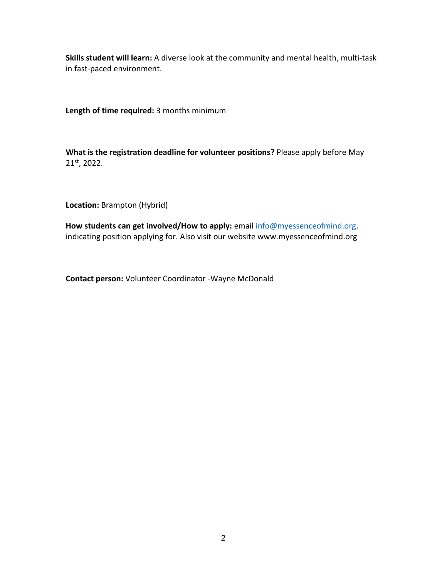**Skills student will learn:** A diverse look at the community and mental health, multi-task in fast-paced environment.

**Length of time required:** 3 months minimum

**What is the registration deadline for volunteer positions?** Please apply before May 21st, 2022.

**Location:** Brampton (Hybrid)

**How students can get involved/How to apply:** email [info@myessenceofmind.org.](mailto:info@myessenceofmind.org) indicating position applying for. Also visit our website www.myessenceofmind.org

**Contact person:** Volunteer Coordinator -Wayne McDonald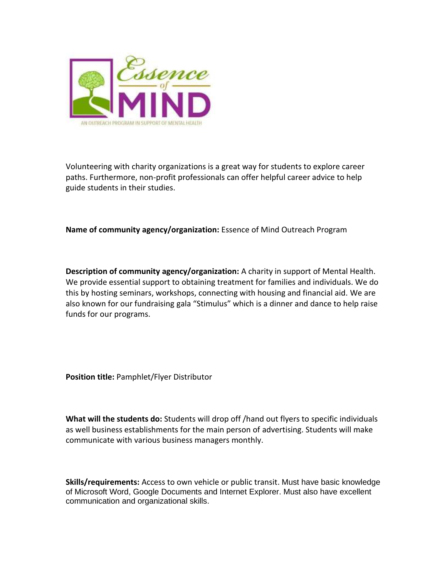

Volunteering with charity organizations is a great way for students to explore career paths. Furthermore, non-profit professionals can offer helpful career advice to help guide students in their studies.

**Name of community agency/organization:** Essence of Mind Outreach Program

**Description of community agency/organization:** A charity in support of Mental Health. We provide essential support to obtaining treatment for families and individuals. We do this by hosting seminars, workshops, connecting with housing and financial aid. We are also known for our fundraising gala "Stimulus" which is a dinner and dance to help raise funds for our programs.

**Position title:** Pamphlet/Flyer Distributor

**What will the students do:** Students will drop off /hand out flyers to specific individuals as well business establishments for the main person of advertising. Students will make communicate with various business managers monthly.

**Skills/requirements:** Access to own vehicle or public transit. Must have basic knowledge of Microsoft Word, Google Documents and Internet Explorer. Must also have excellent communication and organizational skills.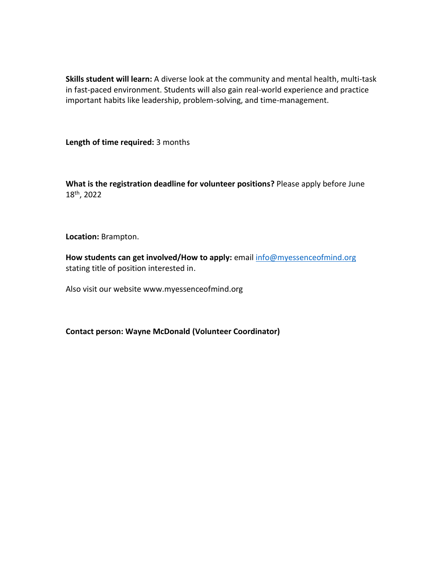**Skills student will learn:** A diverse look at the community and mental health, multi-task in fast-paced environment. Students will also gain real-world experience and practice important habits like leadership, problem-solving, and time-management.

**Length of time required:** 3 months

**What is the registration deadline for volunteer positions?** Please apply before June 18th, 2022

**Location:** Brampton.

**How students can get involved/How to apply:** email [info@myessenceofmind.org](mailto:info@myessenceofmind.org) stating title of position interested in.

Also visit our website www.myessenceofmind.org

**Contact person: Wayne McDonald (Volunteer Coordinator)**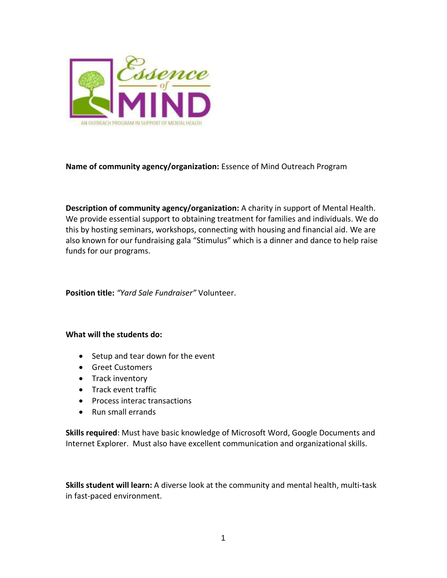

## **Name of community agency/organization:** Essence of Mind Outreach Program

**Description of community agency/organization:** A charity in support of Mental Health. We provide essential support to obtaining treatment for families and individuals. We do this by hosting seminars, workshops, connecting with housing and financial aid. We are also known for our fundraising gala "Stimulus" which is a dinner and dance to help raise funds for our programs.

**Position title:** *"Yard Sale Fundraiser"* Volunteer.

## **What will the students do:**

- Setup and tear down for the event
- Greet Customers
- Track inventory
- Track event traffic
- Process interac transactions
- Run small errands

**Skills required**: Must have basic knowledge of Microsoft Word, Google Documents and Internet Explorer. Must also have excellent communication and organizational skills.

**Skills student will learn:** A diverse look at the community and mental health, multi-task in fast-paced environment.